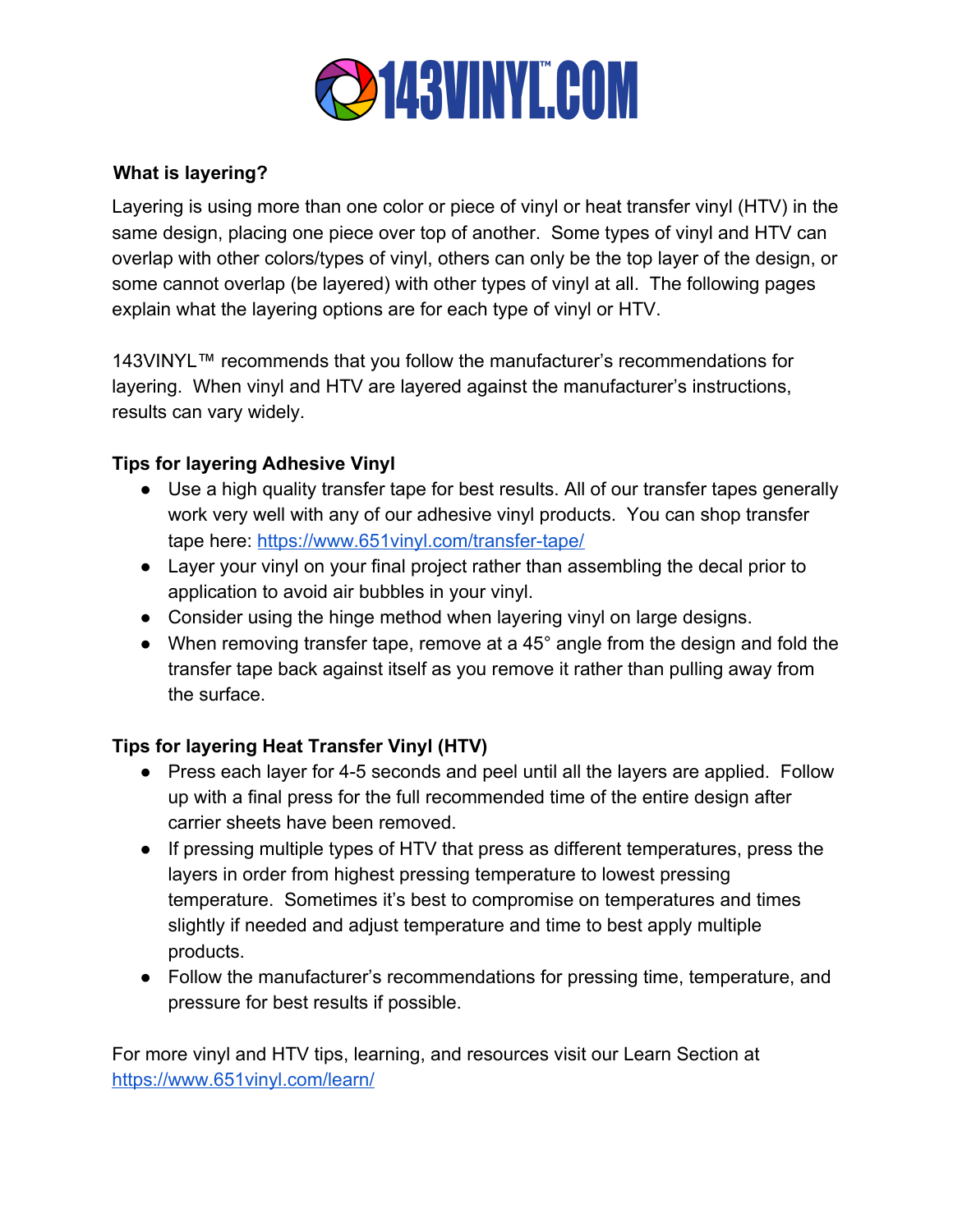

## **What is layering?**

Layering is using more than one color or piece of vinyl or heat transfer vinyl (HTV) in the same design, placing one piece over top of another. Some types of vinyl and HTV can overlap with other colors/types of vinyl, others can only be the top layer of the design, or some cannot overlap (be layered) with other types of vinyl at all. The following pages explain what the layering options are for each type of vinyl or HTV.

143VINYL™ recommends that you follow the manufacturer's recommendations for layering. When vinyl and HTV are layered against the manufacturer's instructions, results can vary widely.

## **Tips for layering Adhesive Vinyl**

- Use a high quality transfer tape for best results. All of our transfer tapes generally work very well with any of our adhesive vinyl products. You can shop transfer tape here: <https://www.651vinyl.com/transfer-tape/>
- Layer your vinyl on your final project rather than assembling the decal prior to application to avoid air bubbles in your vinyl.
- Consider using the hinge method when layering vinyl on large designs.
- When removing transfer tape, remove at a 45° angle from the design and fold the transfer tape back against itself as you remove it rather than pulling away from the surface.

## **Tips for layering Heat Transfer Vinyl (HTV)**

- Press each layer for 4-5 seconds and peel until all the layers are applied. Follow up with a final press for the full recommended time of the entire design after carrier sheets have been removed.
- If pressing multiple types of HTV that press as different temperatures, press the layers in order from highest pressing temperature to lowest pressing temperature. Sometimes it's best to compromise on temperatures and times slightly if needed and adjust temperature and time to best apply multiple products.
- Follow the manufacturer's recommendations for pressing time, temperature, and pressure for best results if possible.

For more vinyl and HTV tips, learning, and resources visit our Learn Section at <https://www.651vinyl.com/learn/>